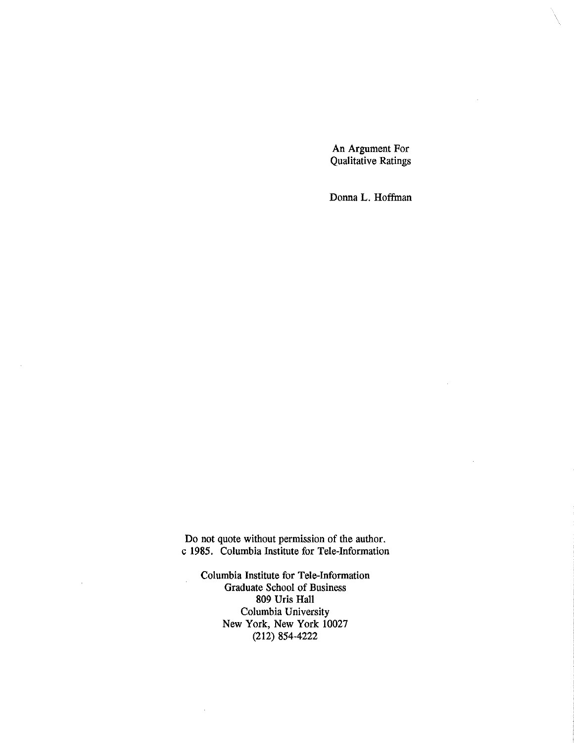An Argument For Qualitative Ratings

Donna L. Hoffman

Do not quote without permission of the author. c 1985. Columbia Institute for Tele-Information

 $\bar{z}$ 

Columbia Institute for Tele-Information Graduate School of Business 809 Uris **Hall**  Columbia University New York, New York 10027 (212) 854-4222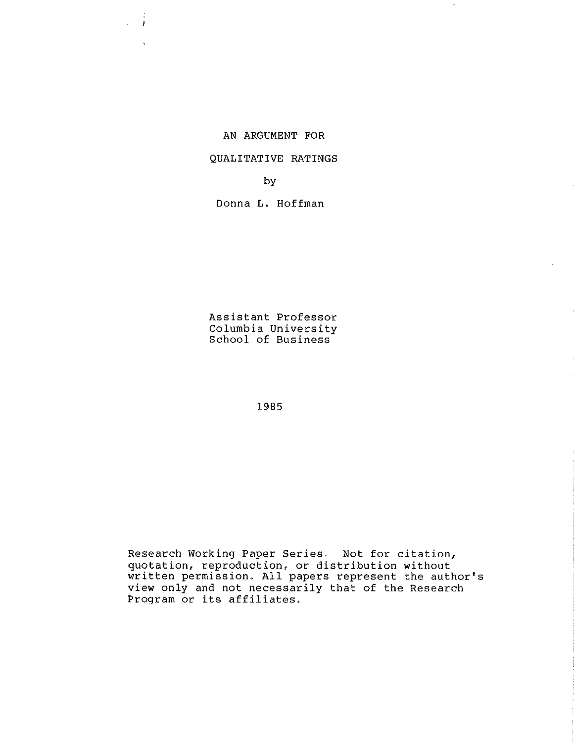AN ARGUMENT FOR

 $\Delta \phi = 0.5$  and

 $\sim$   $\sim$   $\sim$   $\sim$   $\sim$   $\sim$ 

### QUALITATIVE RATINGS

by

Donna L. Hoffman

Assistant Professor Columbia University School of Business

1985

Research Working Paper Series. Not for citation, quotation, reproduction, or distribution withou written permission. All papers represent the author view only and not necessarily that of the Research Program or its affiliates,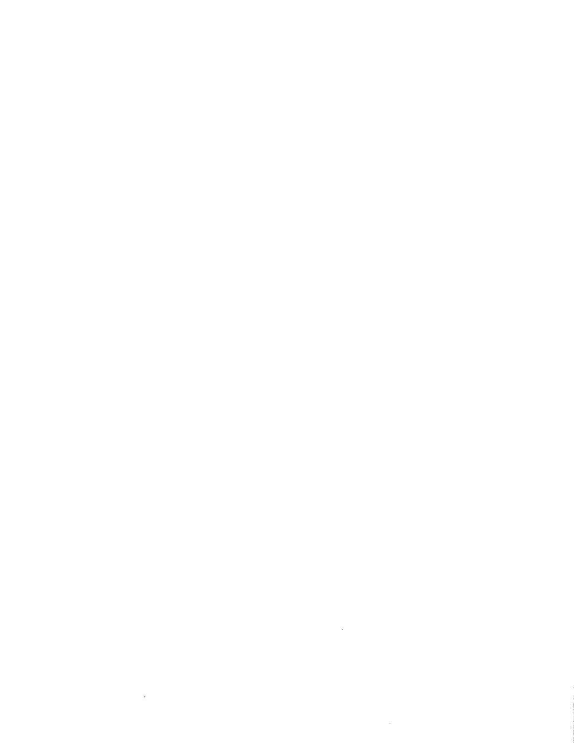$\mathcal{L}^{\text{max}}_{\text{max}}$  , where  $\mathcal{L}^{\text{max}}_{\text{max}}$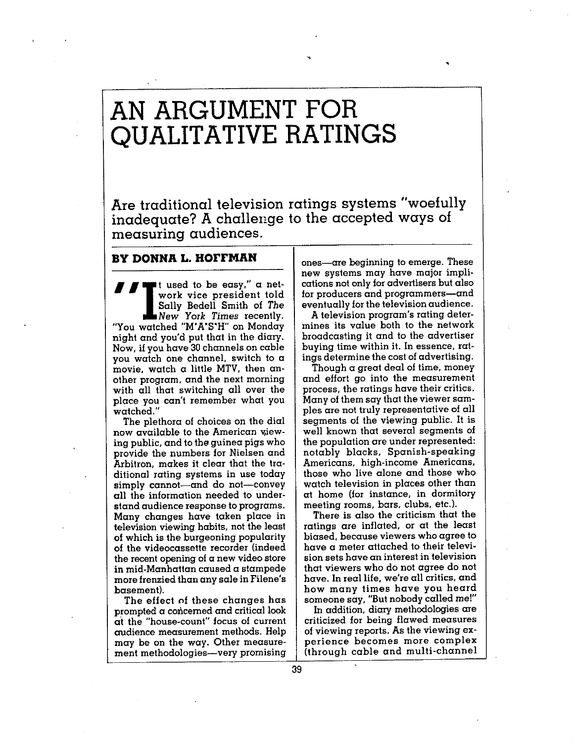# **AN ARGUMENT FOR QUALITATIVE RATINGS**

**Are traditional television ratings systems "woefully inadequate? A challenge to the accepted ways of measuring audiences.** 

**BY DONNA L. HOFFMAN**<br> **I** I **I**<sup>t</sup> used to be easy," a net-<br>
work vice president told work vice president told Sally Bedell Smith of *The*  New *York Times* recently. "You watched "M'A'S'H" on Monday night and you'd put that in the diary. Now, if you have 30 channels on cable you watch one channel, switch to a movie, watch a little MTV, then another program, and the next morning with all that switching all over the place you can't remember what you watched."

The plethora of choices on the dial now available to the American viewing public, and to the guinea pigs who provide the numbers for Nielsen and Arbitron, makes it clear that the traditional rating systems in use today simply cannot-and do not-convey all the information needed to understand audience response to programs. Many changes have taken place in television viewing habits, not the least of which is the burgeoning popularity of the videocassette recorder (indeed the recent opening of a new video store in mid-Manhattan caused a stampede more frenzied than any sale in Filene's basement).

The effect nf these changes has prompted a concerned and critical look at the "house-count" focus of current audience measurement methods. Help may be on the way. Other measurement methodologies-very promising  $ones$ — $are$  beginning to emerge. These new systems may have major implications not only for advertisers but also for producers and programmers-and eventually for the television audience.

A television program's rating determines its value both to the network broadcasting it and to the advertiser buying time within it. In essence, ratings determine the cost of advertising.

Though a great deal of time, money and effort go into the measurement process, the ratings have their critics. Many of them say that the viewer samples are not truly representative of all segments of the viewing public. It is well known that several segments of the population are under represented: notably blacks, Spanish-speaking Americans, high-income Americans, those who live alone and those who watch television in places other than at home (for instance, in dormitory meeting rooms, bars, clubs, etc.).

There is also the criticism that the ratings are inflated, or at the least biased, because viewers who agree to have a meter attached to their television sets have an interest in television that viewers who do not agree do not have. In real life, we're all critics, and how many times have you heard someone say, "But nobody called me!"

In addition, diary methodologies are criticized for being flawed measures of viewing reports. As the viewing experience becomes more complex (through cable and multi-channel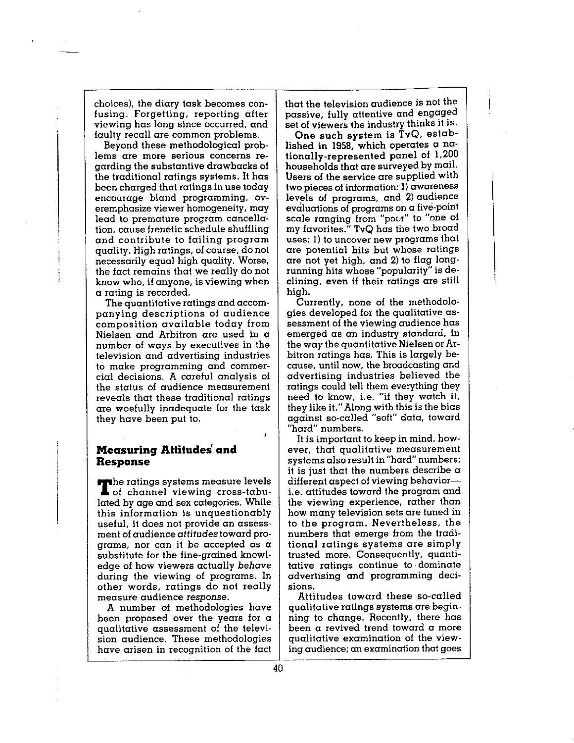choices), the diary task becomes confusing. Forgetting, reporting after viewing has Jong since occurred, and faulty recall are common problems.

Beyond these methodological prob**lems are more serious concerns re~**  garding the substantive drawbacks of the traditional ratings systems. It has been charged that ratings in use today encourage bland programming, overemphasize viewer homogeneity, may lead to premature program cancellation, cause frenetic schedule shuffling and contribute to failing program quality. High ratings, of course, do not necessarily equal high quality. Worse, the fact remains that we really do not know who, if anyone, is viewing when a rating is recorded.

The quantitative ratings and accompanying descriptions of audience composition available today from Nielsen and Arbitron are used in a number of ways by executives in the television and advertising industries to make programming and commercial decisions. A careful analysis of the status of audience measurement reveals that these traditional ratings are woefully inadequate for the task they have been put to.

### **Measuring Attitudes' and Response**

The ratings systems measure levels of channel viewing cross-tabulated by age and sex categories. While this information is unquestionably useful, ii does not provide an assessment of audience *attitudes* toward programs, nor can it be accepted as a substitute for the fine-grained knowledge of how viewers actually behave during the viewing of programs. In other words, ratings do not really **measure audience** *response.* 

A number of methodologies have been proposed over the years for a qualitative assessment of the television audience. These methodologies have arisen in recognition of the fact

that the television audience is not the passive, fully attentive and engaged set of viewers the industry thinks it is.

One such system is TvQ, established in 1958, which operates a nationally-represented panel of I. 200 households that are surveyed by mail. Users of the service are supplied with two pieces of information: I) awareness levels of programs, and 2) audience evaluations of programs on a five-point scale ranging from "poor" to "one of my favorites." TvQ has the two broad uses: I) to uncover new programs that are potential hits but whose ratings are not yet high, and 2) to flag longrunning hits whose "popularity" is declining, even if their ratings are still high.

Currently, none of the methodologies developed for the qualitative assessment of the viewing audience has emerged as an industry standard, in the way the quantitative Nielsen or Arbitron ratings has. This is largely because, until now, the broadcasting and advertising industries believed the ratings could tell them everything they need to know, i.e. "if they watch it, they like it." Along with this is the bias against so-called "soft" data, toward **"hard" numbers.** 

It is important to keep in mind, however, that qualitative measurement systems also result in "hard" numbers; it is just that the numbers describe  $\alpha$  $d$ ifferent aspect of viewing behaviori.e. attitudes toward the program and the viewing experience, rather than how many television sets are tuned in to the program. Nevertheless, the numbers that emerge from the traditional ratings systems are simply trusted more. Consequently, quantitative ratings continue to , dominate advertising and programming deci**sions.** 

Attitudes toward these so-called qualitative ratings systems are beginning to change. Recently, there has been a revived trend toward a more qualitative examination of the viewing audience; an examination that goes

 $\epsilon$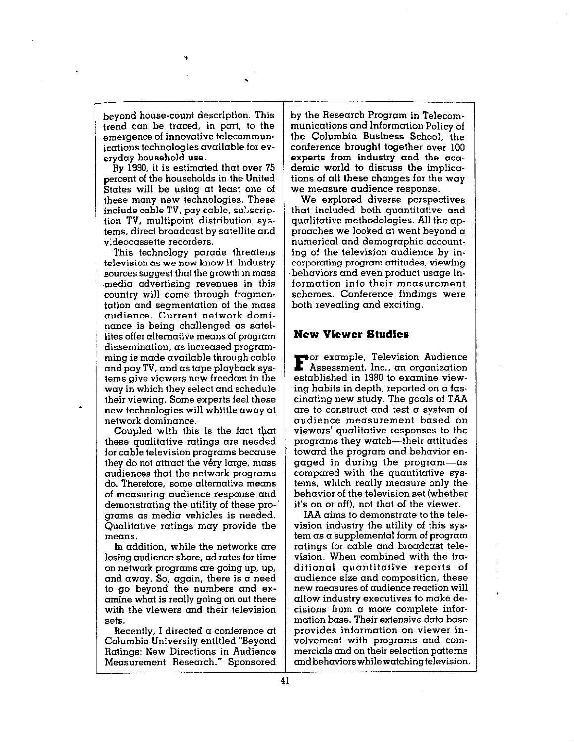beyond house-count description. This trend can be traced, in part, to the emergence of innovative telecommunications technologies available for everyday household use.

By 1990, it is estimated that over 75 percent of the households in the United States will be using at least one of these many new technologies. These  $include cable TV$ , pay  $cable$ , su', scription TV, multipoint distribution systems, direct broadcast by satellite and v.deocassette recorders.

This technology parade threatens television as we now know it. Industry sources suggest that the growth in mass media advertising revenues in this country will come through fragmentation and segmentation of the mass audience. Current network dominance is being challenged as satellites offer alternative means of program dissemination, as increased programming is made available through cable and pay TV, and as tape playback *sys*tems give viewers new freedom in the way in which they select and schedule their viewing. Some experts feel these new technologies will whittle away at network dominance.

Coupled with this is the fact that these qualitative ratings are needed for cable television programs because they do not attract the very large, mass audiences that the network programs do. Therefore, some alternative means of measuring audience response and demonstrating the utility of these pro-· grams as media vehicles is needed. Qualitative ratings may provide the means.

In addition, while the networks are losing audience share, ad rates for time on network programs are going up, up, and away. So, again, there is a need to go beyond the numbers and examine what is really going on out there with the viewers and their television sets.

Hecently, I directed a conference at Columbia University entitled "Beyond Ratings: New Directions in Audience Measurement Research." Sponsored by the Research Program in Telecommunications and Information Policy of the Columbia Business School, the conference brought together over 100 experts from industry and the academic world to discuss the implications of all these changes for the way we measure audience response.

We explored diverse perspectives that included both quantitative and qualitative methodologies. All the approaches we looked at went beyond a numerical and demographic accounting of the television audience by incorporating program attitudes, viewing · behaviors and even product usage information into their measurement schemes. Conference findings were both revealing and exciting.

### **New Viewer Studies**

For example, Television Audience Assessment, Inc., an organization established in 1980 to examine viewing habits in depth, reported on a fascinating new study. The goals of TAA are to construct and test a system of audience measurement based on viewers' qualitative responses to the programs they watch-their attitudes toward the program and behavior engaged in during the program-as compared with the quantitative systems, which really measure only the behavior of the television set (whether it's on or off}, not that of the viewer.

IAA aims to demonstrate to the television industry the utility of this *sys*tem as a supplemental form of program ratings for cable and broadcast television. When combined with the traditional quantitative reports of audience size and composition, these new measures of audience reaction will allow industry executives to make decisions from a more complete information base. Their extensive data base provides information on viewer involvement with programs and commercials and on their selection patterns and behaviors while watching television.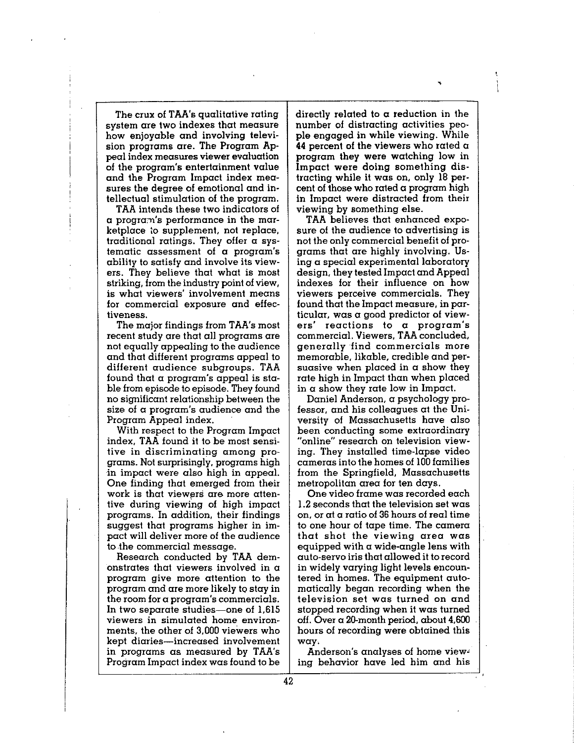The crux of TAA's qualitative rating system are two indexes that measure how enjoyable and involving television programs are. The Program **Ap**peal index measures viewer evaluation of the program's entertainment value and the Program Impact index measures the degree of emotional and intellectual stimulation of the program.

**TAA** intends these two indicators of a program's performance in the marketplace lo supplement, not replace, traditional ratings. They offer a systematic assessment of a program's ability to satisfy and involve its viewers. They believe that what is most striking, from the industry point of view, is what viewers' involvement means for commercial exposure and effec**tiveness.** 

The major findings from TAA's most recent study are that all programs are not equally appealing to the audience and that different programs appeal to different audience subgroups. **TAA**  found that a program's appeal is stable from episode to episode. They found no significant relationship between the size of a program's audience and the Program Appeal index.

With respect to the Program Impact index, **TAA** found it to be most sensitive in discriminating among programs. Not surprisingly, programs high in impact were also high in appeal. One finding that emerged from their work is that viewers are more attentive during viewing of high impact programs. In addition, their findings suggest that programs higher in impact will deliver more of the audience to the commercial message.

Research conducted by TAA demonstrates that viewers involved in a program give more attention to the program and are more likely to stay in the room for a program's commercials. In two separate studies—one of 1,615 viewers in simulated home environments, the other of 3,000 viewers who kept diaries-increased involvement in programs as measured by TAA's Program Impact index was found to be

directly related to a reduction in the number of distracting activities people engaged in while viewing. While **44** percent of the viewers who rated a program they were watching low in Impact were doing something distracting while it was on, only 18 percent of those who rated a program high in Impact were distracted from their viewing by something else.

**TAA** believes that enhanced exposure of the audience to advertising is not the only commercial benefit of programs that are highly involving. Using a special experimental laboratory design, they tested Impact and Appeal indexes for their influence on how viewers perceive commercials. They found that the Impact measure, in particular, was a good predictor of viewers' reactions to  $\alpha$  program's commercial. Viewers, TAA concluded, generally ·find commercials more memorable, likable, credible and persuasive when placed in a show they rate high in Impact than when placed in a show they rate low in Impact.

Daniel Anderson, a psychology professor, and his colleagues at the University of Massachusetts have also been conducting some extraordinary **"online" research on television view**ing. They installed time-lapse video cameras into the homes of 100 families from the Springfield, Massachusetts metropolitan area for ten days.

One video frame was recorded each 1.2 seconds that the television set was on, or at a ratio of 36 hours of real time to one hour of tape time. The camera that shot the viewing area was equipped with a wide-angle lens with auto-servo iris that allowed it to record in widely varying light levels encountered in homes. The equipment automatically began recording when the television set was turned on and stopped recording when it was turned off. Over a 20-month period, about 4,600 hours of recording were obtained this way.

Anderson's analyses of home viewing behavior have led him and his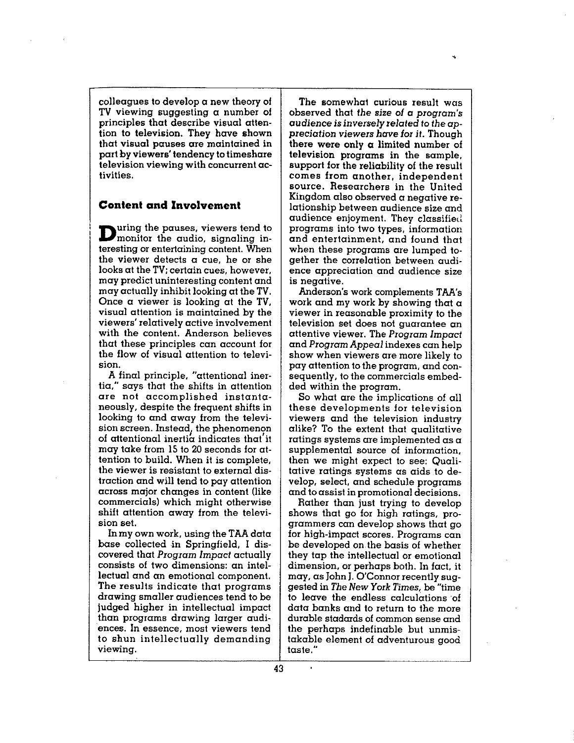colleagues to develop a new theory of TV viewing suggesting a number of principles that describe visual attention to television. They have shown that visual pauses are maintained in part by viewers' tendency to timeshare television viewing with concurrent activities.

### **Content and Involvement**

During the pauses, viewers tend to monitor the audio, signaling interesting or entertaining content. When the viewer detects a cue, he or she looks at the TV; certain cues, however, may predict uninteresting content and may actually inhibit looking at the TV. Once a viewer is looking at the TV, visual attention is maintained by the viewers' relatively active involvement with the content. Anderson believes that these principles can account for the flow of visual attention to televi**sion.** 

**A** final principle, "attentional inertia," says that the shifts in attention are not accomplished instantaneously, despite the frequent shifts in looking to and away from the television screen. Instead, the phenomenon of attentional inertia indicates that' it may take from 15 to 20 seconds for attention to build. When it is complete, the viewer is resistant to external distraction and will tend to pay attention across major changes in content (like commercials) which might otherwise shift attention away from the televi**sion set.** 

In my own work, using the TAA data base collected in Springfield, I discovered that *Program Impact* actually consists of two dimensions: an intellectual and an emotional component. The results indicate that programs drawing smaller audiences tend to be judged higher in intellectual impact than programs drawing larger audiences. In essence, most viewers tend to shun intellectually demanding viewing.

The somewhat curious result was observed that *the size* of a program's *audience is inversely related* to *the appreciation viewers have* for *it.* Though there were only  $\alpha$  limited number of television programs in the sample, support for the reliability of the result comes from another, independent source. Researchers in the United Kingdom also observed a negative relationship between audience size and audience enjoyment. They classified programs into two types, information and entertainment, and found that when these programs are lumped together the correlation between audience appreciation and audience size is negative.

Anderson's work complements TAA's work and my work by showing that  $\alpha$ viewer in reasonable proximity to the television set does not guarantee an attentive viewer. The Program *Impact*  and *Program Appeal* indexes can help show when viewers are more likely to pay attention to the program, and consequently, to the commercials embedded within the program.

So what are the implications of all these developments for television viewers and the television industry alike? To the extent that qualitative ratings systems are implemented as *a*  supplemental source of information, then we might expect to see: Qualitative ratings systems as aids to develop, select, and schedule programs and to assist in promotional decisions.

Rather than just trying to develop shows that go for high ratings, programmers can develop shows that go for high-impact scores. Programs can be developed on the basis of whether they tap the intellectual or emotional dimension, or perhaps both. In fact, it may, as John J. O'Connor recently suggested in *The New York Times,* be "time to leave the endless calculations ·of data banks and to return to the more durable stadards of common sense and the perhaps indefinable but unmistakable element of adventurous good taste."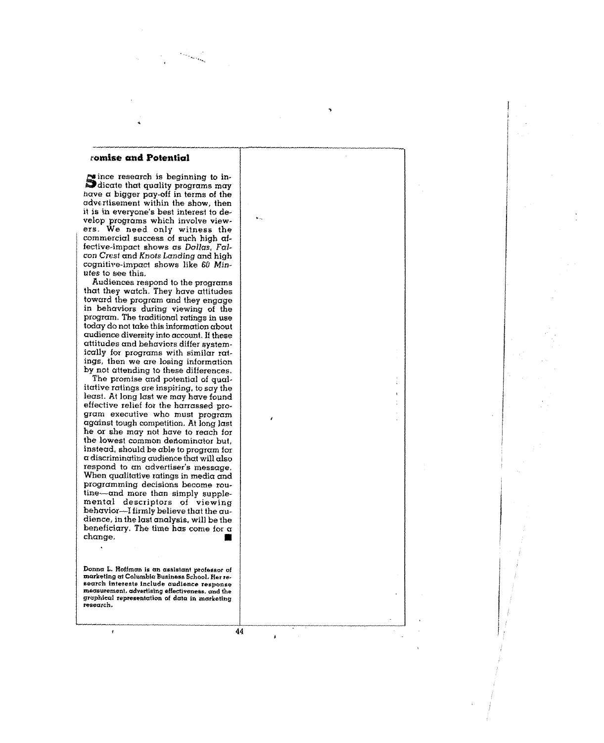### **romise and Potential**

Since research is beginning to in-<br>dicate that quality programs may have a bigger pay-off in terms of the advertisement within the show, then it is in everyone's best interest to develop programs which involve viewers. We need only witness the commercial success of such high affective-impact shows as *Dallas, Fal*con Crest and Knots Landing and high cognitive-impact shows like 60 Min*utes* to see this.

Audiences respond to the programs that they watch. They have attitudes toward the program and they engage in behaviors during viewing of the program. The traditional ratings in use today do not take this information about audience diversity into account. II these attitudes and behaviors differ systemically for programs with similar ratings, then we are losing information by not attending to these differences.

The promise and potential of qualitative ratings are inspiring, to say the least. At long last we may have found effective relief for the harrassed program executive who must program against tough competition. At long last he or she may not have to reach for the lowest common denominator but, instead, should be able to program for a discriminating audience lhcit will also respond to an advertiser's message. When qualitative ratings in media and programming decisions become routine-and more than simply supplemental descriptors of viewing behavior-I firmly believe that the audience, in the last analysis, wUJ be the beneficiary. The time has come for *a*  change.

Donna L. Hoffman is an assistant professor of **marketing ttt Columbia Busin&ss \$ch()ol. Her re,**  search interests include audience response measurement, advertising effectiveness, and the graphical representation of data in marketing **reaearc:h,** 

ŧ

44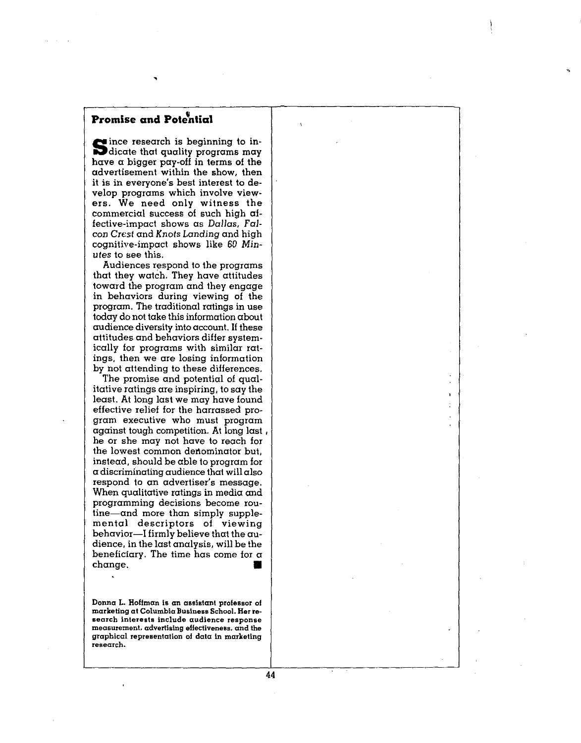## **Promise and Pote'hlial**

Since research is beginning to in-<br>Sdicate that quality programs may have a bigger pay-off in terms of the advertisement within the show, then it is in everyone's best interest to develop programs which involve viewers. We need only witness the commercial success of such high affective-impact shows as Dal/as, falcon Crest and *Knots* Landing and high cognitive-impact shows like 60 Min*utes* to see this.

Audiences respond to the programs that they watch. They have attitudes toward the program and they engage in behaviors during viewing of the program. The traditional ratings in use today do not take this information about audience diversity into account. If these attitudes and behaviors differ systemically for programs with similar ratings, then we are losing information by not attending to these differences.

The promise and potential of qualitative ratings are inspiring, to say the least. At Jong last we may have found effective relief for the harrassed program executive who must program against tough competition. At long last , he or she may not have to reach for the lowest common denominator but, instead, should be able to program for a discriminating audience that will also respond to an advertiser's message. When qualitative ratings in media and programming decisions become rou $time$ —and more than simply supplemental descriptors of viewing  $behavior—I firmly believe that the  $au$$ dience, in the last analysis, will be the beneficiary. The time has come for  $\alpha$ change.

**Donna L. Hoffman is an assistant professor of marketing at Columbia Business School. Her research interests include audience response measurement. advertising effectiveness, and the graphical representation of data in marketing research.**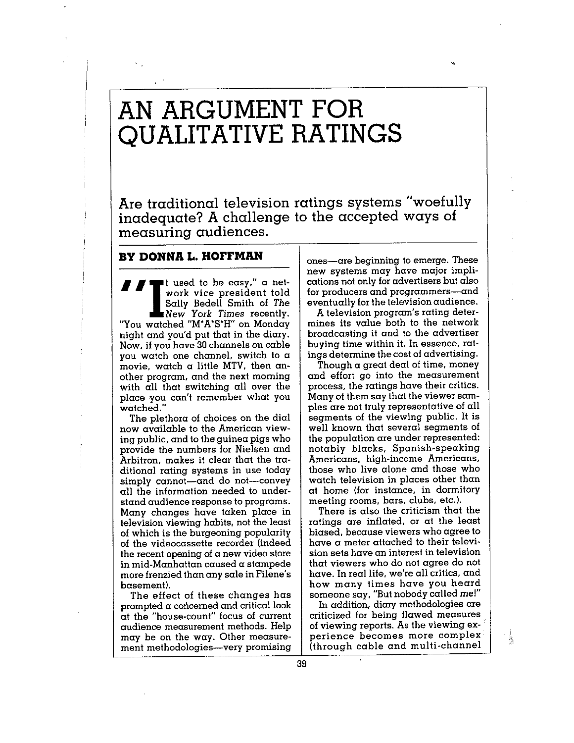# **AN ARGUMENT FOR QUALITATIVE RATINGS**

**Are traditional television ratings systems "woefully inadequate? A challenge to the accepted ways of measuring audiences.** 

### **BY DONNA L. HOFFMAN**

I **I**I used to be easy," a network vice president told Sally Bedell Smith of The New York Times recently. "You watched "M'A'S'H" on Monday night and you'd put that in the diary. Now, ii you have 30 channels on cable you watch one channel, switch to a movie, watch a little MTV, then another program, and the next morning with all that switching all over the place you can't remember what you watched."

The plethora of choices on the dial now available to the American viewing public, and to the guinea pigs who provide the numbers for Nielsen and Arbitron, makes ii clear that the traditional rating systems in use today simply cannot-and do not-convey all the information needed to understand audience response to programs. Many changes have taken place in television viewing habits, not the least of which is the burgeoning popularity of the videocassette recorder (indeed the recent opening of  $\alpha$  new video store in mid-Manhattan caused a stampede more frenzied than any sale in Filene's basement).

The effect of these changes has prompted a concerned and critical look  $at$  the "house-count" focus of current audience measurement methods. Help may be on the way. Other measurement methodologies-very promising

 $ones$ —are beginning to emerge. These new systems may have major implications not only for advertisers but also for producers and programmers-and eventually for the television audience.

A television program's rating determines its value both to the network broadcasting ii and to the advertiser buying time within it. In essence, ratings determine the cost of advertising.

Though a great deal of time, money and effort go into the measurement process, the ratings have their critics. Many of them say that the viewer samples are not truly representative of all segments of the viewing public. It is well known that several segments of the population are under represented: notably blacks, Spanish-speaking Americans, high-income Americans, those who live alone and those who watch television in places other than at home (for instance, in dormitory meeting rooms, bars, clubs, etc.).

There is also the criticism that the ratings are inflated, or at the least biased, because viewers who agree to have a meter attached to their television sets have an interest in television that viewers who do not agree do not have. In real life, we're all critics, and how many times have you heard someone say, "But nobody called me!"

In addition, diary methodologies are criticized for being flawed measures of viewing reports. As the viewing experience becomes more complex (through cable and multi-channel

è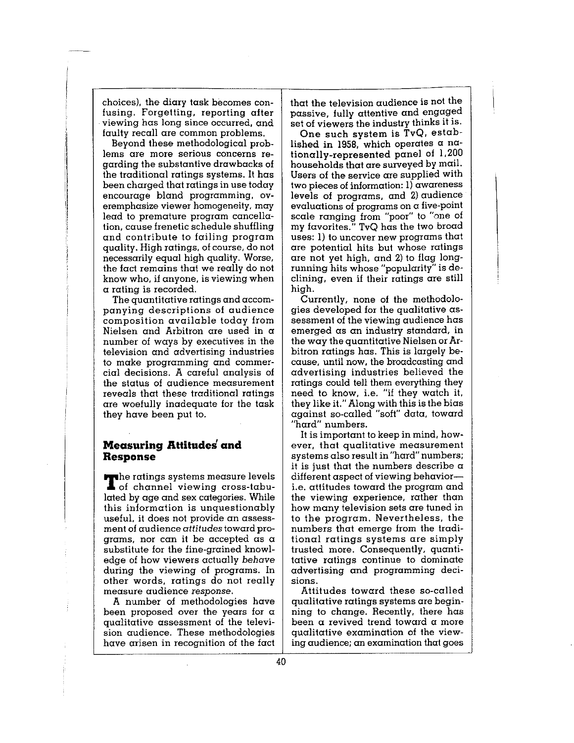choices), the diary task becomes confusing, Forgetting, reporting after **viewing has long since occurred, and**  faulty recall are common problems,

Beyond these methodological prob**lems are more serious concerns re**garding the substantive drawbacks of the traditional ratings systems. It has been charged that ratings in use today encourage bland programming, overemphasize viewer homogeneity, may lead to premature program cancellation, cause frenetic schedule shuffling and contribute to failing program quality. High ratings, of course, do not necessarily equal high quality, Worse, the fact remains that we really do not know who, if anyone, is viewing when a rating is recorded,

The quantitative ratings and accompanying descriptions of audience composition available today from Nielsen and Arbitron are used in a number of ways by executives in the television and advertising industries to make programming and commercial decisions. A careful analysis of the status of audience measurement reveals that these traditional ratings are woefully inadequate for the task they have been put to.

### **Measuring Attitudes' and Response**

The ratings systems measure levels of channel viewing cross-tabulated by age and sex categories. While this information is unquestionably useful, it does not provide an assessment of audience *attitudes* toward programs, nor can it be accepted as a substitute for the fine-grained knowledge of how viewers actually *behave*  during the viewing of programs. In other words, ratings do not really **measure audience** *response.* 

A number of methodologies *have*  been proposed over the years for a qualitative assessment of the television audience. These methodologies have arisen in recognition of the fact

that the television audience is not the passive, fully attentive and engaged set of viewers the industry thinks it is.

One such system is TvQ, established in 1958, which operates a nationally-represented panel of l. 200 households that are surveyed by mail. Users of the service are supplied with two pieces of information: !) awareness levels of programs, and 2) audience evaluations of programs on a five-point scale ranging from "poor" to "one of my favorites." TvQ has the two broad uses: I) to uncover new programs that are potential hits but whose ratings are not yet high, and 2) to flag longrunning hits whose "popularity" is declining, even if their ratings are still high.

Currently, none of the methodologies developed for the qualitative assessment of the viewing audience has emerged as an industry standard, in the way the quantitative Nielsen or Arbitron ratings has. This is largely because, until now, the broadcasting and advertising industries believed the ratings could tell them everything they need to know, i.e. "if they watch it, they like it." Along with this is the bias against so-called "soft" data, toward **''hard" numbers.** 

It is important to keep in mind, however, that qualitative measurement systems also result in "hard" numbers; it is just that the numbers describe  $\alpha$ different aspect of viewing behaviori.e. attitudes toward the program and the viewing experience, rather than how many television sets are tuned in to the program. Nevertheless, the numbers that emerge from the traditional ratings systems are simply trusted more. Consequently, quantitative ratings continue to dominate advertising and programming deci**sions.** 

Attitudes toward these so-called qualitative ratings systems are beginning to change. Recently, there has been a revived trend toward a more qualitative examination of the viewing audience; an examination that goes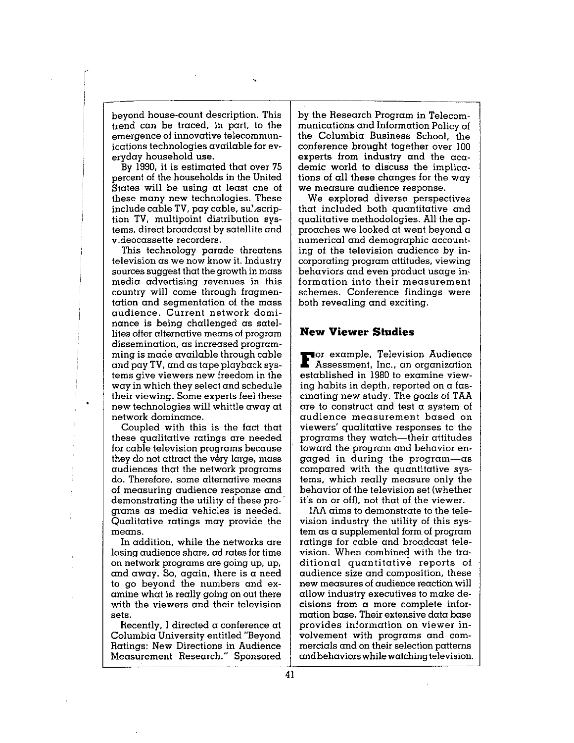beyond house-count description. This trend can be traced, in part, to the emergence of innovative telecommunications technologies available for everyday household use.

r

 $\ddot{\phantom{0}}$ 

By 1990, it is estimated that over 75 percent of the households in the United States will be using at least one of these many new technologies. These include cable TV, pay cable, sul, scription TV, multipoint distribution systems, direct broadcast by satellite and videocassette recorders.

This technology parade threatens television as we now know it. Industry sources suggest that the growth in mass media advertising revenues in this country will come through fragmentation and segmentation of the mass audience. Current network dominance is being challenged as satellites offer alternative means of program **dissemination, as increased program**ming is made available through cable and pay TV, and as tape playback systems give viewers new freedom in the way in which they select and schedule their viewing. Some experts feel these new technologies will whittle away at network dominance.

Coupled with this is the fact that these qualitative ratings are needed for cable television programs because they do not attract the very large, mass audiences that the network programs do. Therefore, some alternative means of measuring audience response and demonstrating the utility of these pro-· grams as media vehicles is needed. Qualitative ratings may provide the **means.** 

In addition, while the networks are losing audience share, ad rates for time on network programs are going up, up, and away. So, again, there is a need to go beyond the numbers and examine what is really going on out there with the viewers and their television sets.

Recently, I directed a conference at Columbia University entitled "Beyond Ratings: New Directions in Audience Measurement Research." Sponsored by the Research Program in Telecommunications and Information Policy of the Columbia Business School, the conference brought together over 100 experts from industry and the academic world to discuss the implications of all these changes for the way **we measure audience response.** 

We explored diverse perspectives that included both quantitative and qualitative methodologies. All the approaches we looked at went beyond a numerical and demographic accounting of the television audience by incorporating program attitudes, viewing behaviors and even product usage information into their measurement schemes. Conference findings were both revealing and exciting.

### **New Viewer Studies**

For example, Television Audience Assessment, Inc., an organization established in 1980 to examine viewing habits in depth, reported on  $\alpha$  fascinating new study. The goals of TAA are to construct and test a system of audience measuremeat based on viewers' qualitative responses to the programs they watch-their attitudes toward the program and behavior engaged in during the program- $-\alpha s$ compared with the quantitative systems, which really measure only the behavior of the television set (whether it's on or off), not that of the viewer.

!AA aims to demonstrate to the television industry the utility of this system as a supplemental form of program ratings for cable and broadcast television. When combined with the traditional quantitative reports of audience size and composition, these **new measures of audience reaction will**  allow industry executives to make de**cisions from a more complete infor**mation base. Their extensive data base **provides information on viewer in**volvement with programs and commercials and on their selection patterns and behaviors while watching television.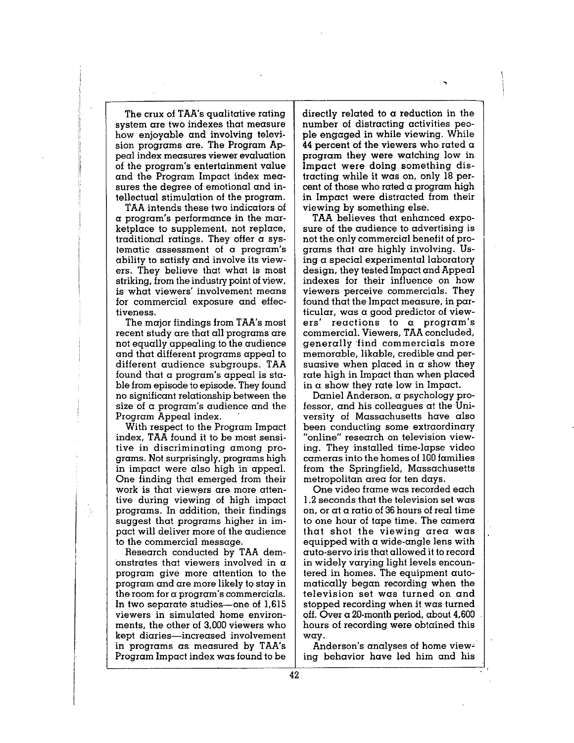The crux of TAA's qualitative rating system are two indexes that measure how enjoyable and involving television programs are. The Program Appeal index measures viewer evaluation of the program's entertainment value and the Program Impact index measures the degree of emotional and intellectual stimulation of the program.

TAA intends these two indicators of a program's performance in the marketplace to supplement, not replace, traditional ratings. They offer a systematic assessment of a program's ability to satisfy and involve its viewers. They believe that what is most striking, from the industry point of view, is what viewers' involvement means for commercial exposure and effec**tiveness.** 

The major findings from TAA's most recent study are that all programs are not equally appealing to the audience and that different programs appeal to different audience subgroups. TAA found that a program's appeal is stable from episode to episode. They found no significant relationship between the size of a program's audience and the Program Appeal index.

With respect to the Program Impact index, TAA found it to be most sensitive in discriminating among programs. Not surprisingly, programs high in impact were also high in appeal. One finding that emerged from their work is that viewers are more attentive during viewing of high impact programs. In addition, their findings suggest that programs higher in impact **will** deliver more of the audience to the commercial message.

- B

Research conducted by **TAA** demonstrates that viewers involved in a program give more attention to the program and are more likely to stay in the room for a program's commercials. In two separate studies-one of 1,615 **viewers in simulated home environ**ments, the other of 3,000 viewers who kept diaries-increased involvement in programs as measured by TAA's Program Impact index was found to be

directly related to a reduction in the number of distracting activities people engaged in while viewing. While **44** percent of the viewers who rated a program they were watching low in Impact were doing something distracting while it was on, only 18 percent of those who rated a program high in Impact were distracted from their viewing by something else.

**TAA** believes that enhanced exposure of the audience to advertising is not the only commercial benefit of programs that are highly involving. Using a special experimental laboratory design, they tested Impact and Appeal indexes for their influence on how viewers perceive commercials. They found that the Impact measure, in particular, was a good predictor of view**ers' reactions to a program's**  commercial. Viewers, TAA concluded generally find commercials more memorable, likable, credible and persuasive when placed in  $\alpha$  show they rate high in Impact than when placed in  $\alpha$  show they rate low in Impact.

Daniel Anderson, a psychology professor, and his colleagues at the University of Massachusetts have also been conducting some extraordinary "online" research on television viewing. They installed time-lapse video cameras into the homes of 100 families from the Springfield, Massachusetts metropolitan area for ten days.

One video frame was recorded each 1. 2 seconds that the television set was on, or at a ratio of 36 hours of real time to one hour of tape time. The camera that shot the viewing area was equipped with a wide-angle lens with auto-servo iris that allowed it to record in widely varying light levels encountered in homes. The equipment automatically began recording when the television set was turned on and stopped recording when it was turned off. Over a 20-month period, about 4,600 hours of recording were obtained this way.

Anderson's analyses of home view' ing behavior have led him and his